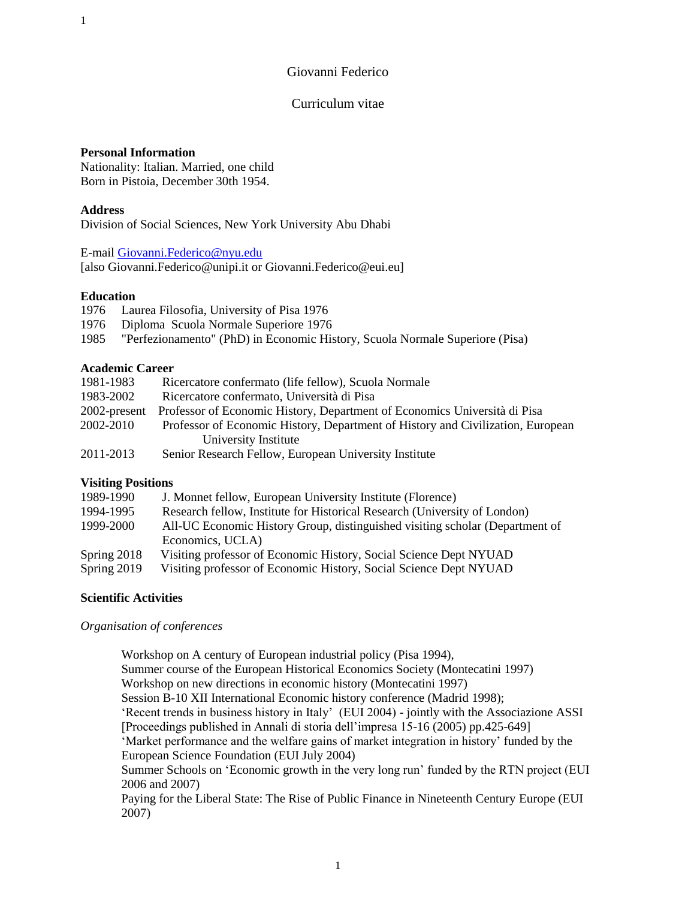# Giovanni Federico

# Curriculum vitae

# **Personal Information**

Nationality: Italian. Married, one child Born in Pistoia, December 30th 1954.

# **Address**

Division of Social Sciences, New York University Abu Dhabi

E-mail [Giovanni.Federico@nyu.edu](mailto:Giovanni.Federico@nyu.edu) [also Giovanni.Federico@unipi.it or Giovanni.Federico@eui.eu]

# **Education**

- 1976 Laurea Filosofia, University of Pisa 1976
- 1976 Diploma Scuola Normale Superiore 1976
- 1985 "Perfezionamento" (PhD) in Economic History, Scuola Normale Superiore (Pisa)

# **Academic Career**

| 1981-1983    | Ricercatore confermato (life fellow), Scuola Normale                            |
|--------------|---------------------------------------------------------------------------------|
| 1983-2002    | Ricercatore confermato, Università di Pisa                                      |
| 2002-present | Professor of Economic History, Department of Economics Università di Pisa       |
| 2002-2010    | Professor of Economic History, Department of History and Civilization, European |
|              | University Institute                                                            |
| 2011-2013    | Senior Research Fellow, European University Institute                           |

# **Visiting Positions**

| 1989-1990   | J. Monnet fellow, European University Institute (Florence)                   |
|-------------|------------------------------------------------------------------------------|
| 1994-1995   | Research fellow, Institute for Historical Research (University of London)    |
| 1999-2000   | All-UC Economic History Group, distinguished visiting scholar (Department of |
|             | Economics, UCLA)                                                             |
| Spring 2018 | Visiting professor of Economic History, Social Science Dept NYUAD            |
| Spring 2019 | Visiting professor of Economic History, Social Science Dept NYUAD            |
|             |                                                                              |

# **Scientific Activities**

# *Organisation of conferences*

Workshop on A century of European industrial policy (Pisa 1994), Summer course of the European Historical Economics Society (Montecatini 1997) Workshop on new directions in economic history (Montecatini 1997) Session B-10 XII International Economic history conference (Madrid 1998); 'Recent trends in business history in Italy' (EUI 2004) - jointly with the Associazione ASSI [Proceedings published in Annali di storia dell'impresa 15-16 (2005) pp.425-649] 'Market performance and the welfare gains of market integration in history' funded by the European Science Foundation (EUI July 2004) Summer Schools on 'Economic growth in the very long run' funded by the RTN project (EUI 2006 and 2007) Paying for the Liberal State: The Rise of Public Finance in Nineteenth Century Europe (EUI 2007)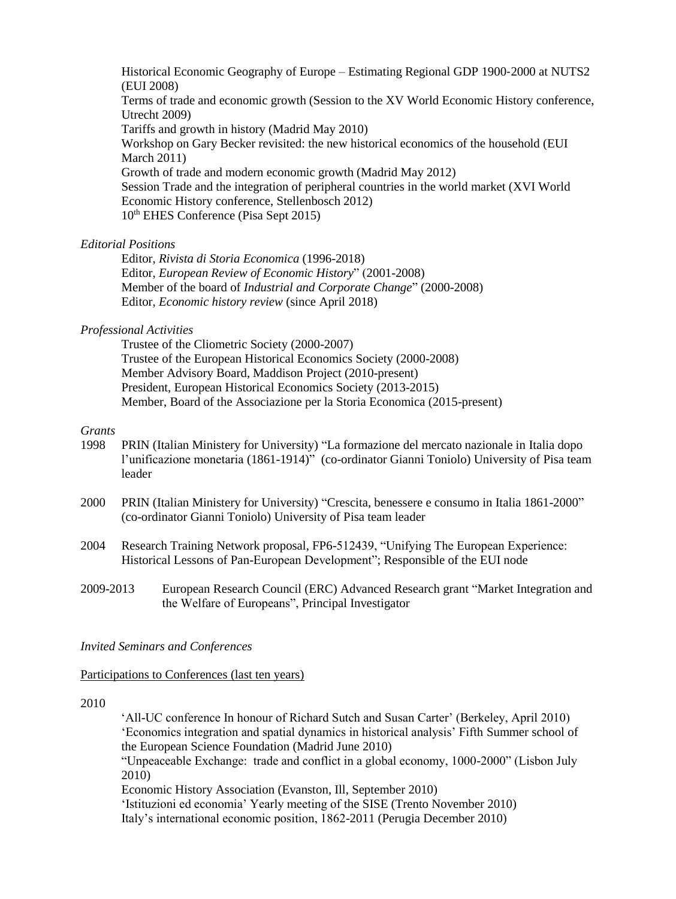Historical Economic Geography of Europe – Estimating Regional GDP 1900‐2000 at NUTS2 (EUI 2008) Terms of trade and economic growth (Session to the XV World Economic History conference, Utrecht 2009) Tariffs and growth in history (Madrid May 2010) Workshop on Gary Becker revisited: the new historical economics of the household (EUI March 2011) Growth of trade and modern economic growth (Madrid May 2012) Session Trade and the integration of peripheral countries in the world market (XVI World Economic History conference, Stellenbosch 2012) 10th EHES Conference (Pisa Sept 2015)

#### *Editorial Positions*

Editor, *Rivista di Storia Economica* (1996-2018) Editor, *European Review of Economic History*" (2001-2008) Member of the board of *Industrial and Corporate Change*" (2000-2008) Editor, *Economic history review* (since April 2018)

#### *Professional Activities*

Trustee of the Cliometric Society (2000-2007) Trustee of the European Historical Economics Society (2000-2008) Member Advisory Board, Maddison Project (2010-present) President, European Historical Economics Society (2013-2015) Member, Board of the Associazione per la Storia Economica (2015-present)

# *Grants*

- 1998 PRIN (Italian Ministery for University) "La formazione del mercato nazionale in Italia dopo l'unificazione monetaria (1861-1914)" (co-ordinator Gianni Toniolo) University of Pisa team leader
- 2000 PRIN (Italian Ministery for University) "Crescita, benessere e consumo in Italia 1861-2000" (co-ordinator Gianni Toniolo) University of Pisa team leader
- 2004 Research Training Network proposal, FP6-512439, "Unifying The European Experience: Historical Lessons of Pan-European Development"; Responsible of the EUI node
- 2009-2013 European Research Council (ERC) Advanced Research grant "Market Integration and the Welfare of Europeans", Principal Investigator

#### *Invited Seminars and Conferences*

Participations to Conferences (last ten years)

#### 2010

 'All-UC conference In honour of Richard Sutch and Susan Carter' (Berkeley, April 2010) 'Economics integration and spatial dynamics in historical analysis' Fifth Summer school of the European Science Foundation (Madrid June 2010) "Unpeaceable Exchange: trade and conflict in a global economy, 1000-2000" (Lisbon July 2010) Economic History Association (Evanston, Ill, September 2010) 'Istituzioni ed economia' Yearly meeting of the SISE (Trento November 2010) Italy's international economic position, 1862-2011 (Perugia December 2010)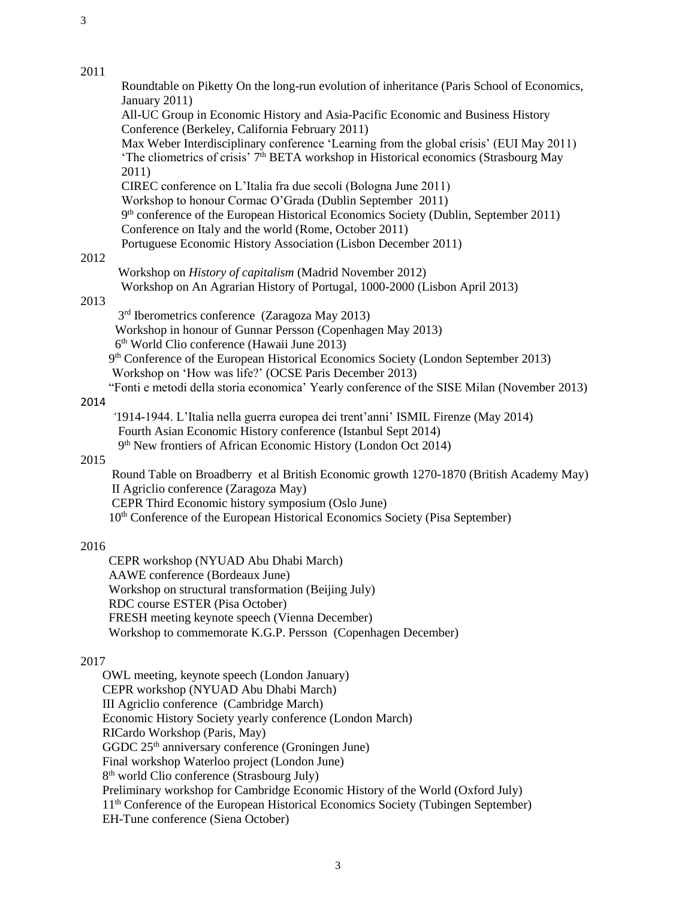#### 2011

Roundtable on Piketty On the long-run evolution of inheritance (Paris School of Economics, January 2011) All-UC Group in Economic History and Asia-Pacific Economic and Business History Conference (Berkeley, California February 2011) Max Weber Interdisciplinary conference 'Learning from the global crisis' (EUI May 2011) 'The cliometrics of crisis' 7<sup>th</sup> BETA workshop in Historical economics (Strasbourg May 2011) CIREC conference on L'Italia fra due secoli (Bologna June 2011) Workshop to honour Cormac O'Grada (Dublin September 2011) 9<sup>th</sup> conference of the European Historical Economics Society (Dublin, September 2011) Conference on Italy and the world (Rome, October 2011) Portuguese Economic History Association (Lisbon December 2011)

# 2012

 Workshop on *History of capitalism* (Madrid November 2012) Workshop on An Agrarian History of Portugal, 1000-2000 (Lisbon April 2013)

#### 2013

3 rd Iberometrics conference (Zaragoza May 2013)

Workshop in honour of Gunnar Persson (Copenhagen May 2013)

6 th World Clio conference (Hawaii June 2013)

 9 th Conference of the European Historical Economics Society (London September 2013) Workshop on 'How was life?' (OCSE Paris December 2013)

"Fonti e metodi della storia economica' Yearly conference of the SISE Milan (November 2013)

#### 2014

 *'*1914-1944. L'Italia nella guerra europea dei trent'anni' ISMIL Firenze (May 2014) Fourth Asian Economic History conference (Istanbul Sept 2014) 9<sup>th</sup> New frontiers of African Economic History (London Oct 2014)

# 2015

 Round Table on Broadberry et al British Economic growth 1270-1870 (British Academy May) II Agriclio conference (Zaragoza May) CEPR Third Economic history symposium (Oslo June) 10th Conference of the European Historical Economics Society (Pisa September)

# 2016

 CEPR workshop (NYUAD Abu Dhabi March) AAWE conference (Bordeaux June) Workshop on structural transformation (Beijing July) RDC course ESTER (Pisa October) FRESH meeting keynote speech (Vienna December) Workshop to commemorate K.G.P. Persson (Copenhagen December)

# 2017

 OWL meeting, keynote speech (London January) CEPR workshop (NYUAD Abu Dhabi March) III Agriclio conference (Cambridge March) Economic History Society yearly conference (London March) RICardo Workshop (Paris, May) GGDC  $25<sup>th</sup>$  anniversary conference (Groningen June) Final workshop Waterloo project (London June) 8 th world Clio conference (Strasbourg July) Preliminary workshop for Cambridge Economic History of the World (Oxford July) 11th Conference of the European Historical Economics Society (Tubingen September) EH-Tune conference (Siena October)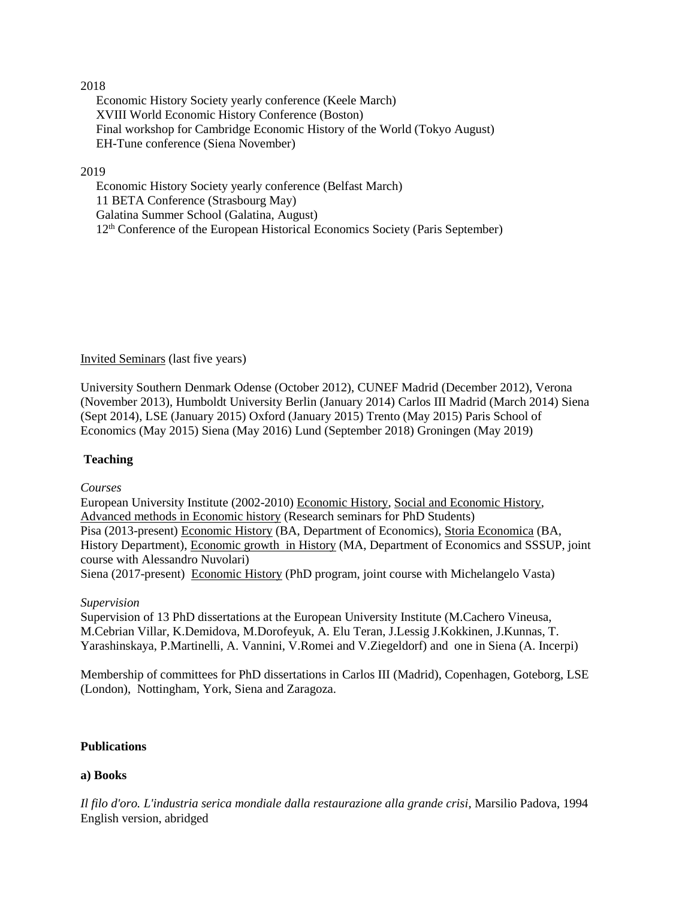#### 2018

 Economic History Society yearly conference (Keele March) XVIII World Economic History Conference (Boston) Final workshop for Cambridge Economic History of the World (Tokyo August) EH-Tune conference (Siena November)

#### 2019

 Economic History Society yearly conference (Belfast March) 11 BETA Conference (Strasbourg May) Galatina Summer School (Galatina, August) 12<sup>th</sup> Conference of the European Historical Economics Society (Paris September)

# Invited Seminars (last five years)

University Southern Denmark Odense (October 2012), CUNEF Madrid (December 2012), Verona (November 2013), Humboldt University Berlin (January 2014) Carlos III Madrid (March 2014) Siena (Sept 2014), LSE (January 2015) Oxford (January 2015) Trento (May 2015) Paris School of Economics (May 2015) Siena (May 2016) Lund (September 2018) Groningen (May 2019)

# **Teaching**

#### *Courses*

European University Institute (2002-2010) Economic History, Social and Economic History, Advanced methods in Economic history (Research seminars for PhD Students) Pisa (2013-present) Economic History (BA, Department of Economics), Storia Economica (BA, History Department), Economic growth in History (MA, Department of Economics and SSSUP, joint course with Alessandro Nuvolari) Siena (2017-present) Economic History (PhD program, joint course with Michelangelo Vasta)

#### *Supervision*

Supervision of 13 PhD dissertations at the European University Institute (M.Cachero Vineusa, M.Cebrian Villar, K.Demidova, M.Dorofeyuk, A. Elu Teran, J.Lessig J.Kokkinen, J.Kunnas, T. Yarashinskaya, P.Martinelli, A. Vannini, V.Romei and V.Ziegeldorf) and one in Siena (A. Incerpi)

Membership of committees for PhD dissertations in Carlos III (Madrid), Copenhagen, Goteborg, LSE (London), Nottingham, York, Siena and Zaragoza.

#### **Publications**

# **a) Books**

*Il filo d'oro. L'industria serica mondiale dalla restaurazione alla grande crisi*, Marsilio Padova, 1994 English version, abridged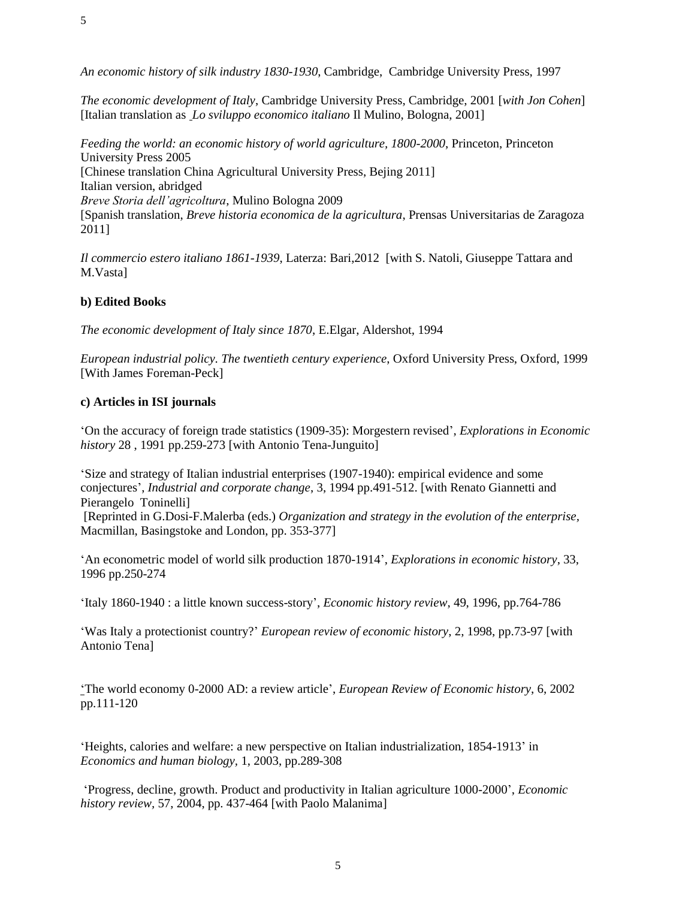*The economic development of Italy*, Cambridge University Press, Cambridge, 2001 [*with Jon Cohen*] [Italian translation as *Lo sviluppo economico italiano* Il Mulino, Bologna, 2001]

*Feeding the world: an economic history of world agriculture, 1800-2000*, Princeton, Princeton University Press 2005 [Chinese translation China Agricultural University Press, Bejing 2011] Italian version, abridged *Breve Storia dell'agricoltura*, Mulino Bologna 2009 [Spanish translation, *Breve historia economica de la agricultura*, Prensas Universitarias de Zaragoza 2011]

*Il commercio estero italiano 1861-1939*, Laterza: Bari,2012 [with S. Natoli, Giuseppe Tattara and M.Vasta]

# **b) Edited Books**

5

*The economic development of Italy since 1870*, E.Elgar, Aldershot, 1994

*European industrial policy. The twentieth century experience*, Oxford University Press, Oxford, 1999 [With James Foreman-Peck]

# **c) Articles in ISI journals**

'On the accuracy of foreign trade statistics (1909-35): Morgestern revised', *Explorations in Economic history* 28 , 1991 pp.259-273 [with Antonio Tena-Junguito]

'Size and strategy of Italian industrial enterprises (1907-1940): empirical evidence and some conjectures', *Industrial and corporate change*, 3, 1994 pp.491-512. [with Renato Giannetti and Pierangelo Toninelli]

[Reprinted in G.Dosi-F.Malerba (eds.) *Organization and strategy in the evolution of the enterprise,* Macmillan, Basingstoke and London, pp. 353-377]

'An econometric model of world silk production 1870-1914', *Explorations in economic history*, 33, 1996 pp.250-274

'Italy 1860-1940 : a little known success-story', *Economic history review*, 49, 1996, pp.764-786

'Was Italy a protectionist country?' *European review of economic history*, 2, 1998, pp.73-97 [with Antonio Tena]

'The world economy 0-2000 AD: a review article', *European Review of Economic history*, 6, 2002 pp.111-120

'Heights, calories and welfare: a new perspective on Italian industrialization, 1854-1913' in *Economics and human biology,* 1, 2003, pp.289-308

'Progress, decline, growth. Product and productivity in Italian agriculture 1000-2000', *Economic history review,* 57, 2004, pp. 437-464 [with Paolo Malanima]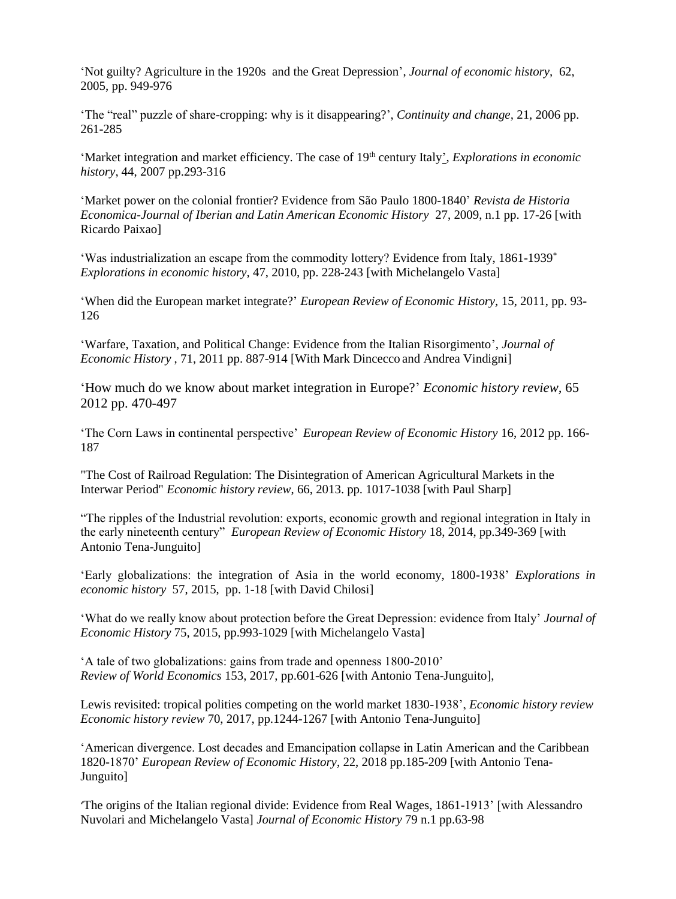'Not guilty? Agriculture in the 1920s and the Great Depression', *Journal of economic history,* 62, 2005, pp. 949-976

'The "real" puzzle of share-cropping: why is it disappearing?', *Continuity and change,* 21, 2006 pp. 261-285

'Market integration and market efficiency. The case of 19<sup>th</sup> century Italy', *Explorations in economic history*, 44, 2007 pp.293-316

'Market power on the colonial frontier? Evidence from São Paulo 1800-1840' *Revista de Historia Economica-Journal of Iberian and Latin American Economic History* 27, 2009, n.1 pp. 17-26 [with Ricardo Paixao]

'Was industrialization an escape from the commodity lottery? Evidence from Italy, 1861-1939\* *Explorations in economic history,* 47, 2010, pp. 228-243 [with Michelangelo Vasta]

'When did the European market integrate?' *European Review of Economic History,* 15, 2011, pp. 93- 126

'Warfare, Taxation, and Political Change: Evidence from the Italian Risorgimento', *Journal of Economic History* , 71, 2011 pp. 887-914 [With Mark Dincecco and Andrea Vindigni]

'How much do we know about market integration in Europe?' *Economic history review,* 65 2012 pp. 470-497

'The Corn Laws in continental perspective' *European Review of Economic History* 16, 2012 pp. 166- 187

"The Cost of Railroad Regulation: The Disintegration of American Agricultural Markets in the Interwar Period" *Economic history review*, 66, 2013. pp. 1017-1038 [with Paul Sharp]

"The ripples of the Industrial revolution: exports, economic growth and regional integration in Italy in the early nineteenth century" *European Review of Economic History* 18, 2014, pp.349-369 [with Antonio Tena-Junguito]

'Early globalizations: the integration of Asia in the world economy, 1800-1938' *Explorations in economic history* 57, 2015, pp. 1-18 [with David Chilosi]

'What do we really know about protection before the Great Depression: evidence from Italy' *Journal of Economic History* 75, 2015, pp.993-1029 [with Michelangelo Vasta]

'A tale of two globalizations: gains from trade and openness 1800-2010' *Review of World Economics* 153, 2017, pp.601-626 [with Antonio Tena-Junguito],

Lewis revisited: tropical polities competing on the world market 1830-1938', *Economic history review Economic history review* 70, 2017, pp.1244-1267 [with Antonio Tena-Junguito]

'American divergence. Lost decades and Emancipation collapse in Latin American and the Caribbean 1820-1870' *European Review of Economic History*, 22, 2018 pp.185-209 [with Antonio Tena-Junguito]

'The origins of the Italian regional divide: Evidence from Real Wages, 1861-1913' [with Alessandro Nuvolari and Michelangelo Vasta] *Journal of Economic History* 79 n.1 pp.63-98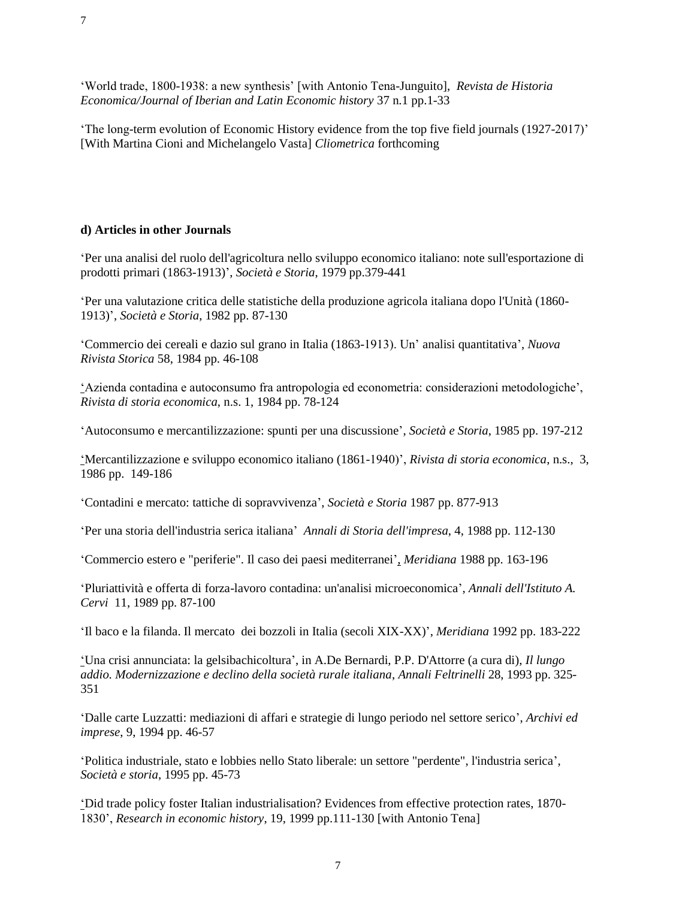'World trade, 1800-1938: a new synthesis' [with Antonio Tena-Junguito], *Revista de Historia Economica/Journal of Iberian and Latin Economic history* 37 n.1 pp.1-33

'The long-term evolution of Economic History evidence from the top five field journals (1927-2017)' [With Martina Cioni and Michelangelo Vasta] *Cliometrica* forthcoming

## **d) Articles in other Journals**

'Per una analisi del ruolo dell'agricoltura nello sviluppo economico italiano: note sull'esportazione di prodotti primari (1863-1913)', *Società e Storia*, 1979 pp.379-441

'Per una valutazione critica delle statistiche della produzione agricola italiana dopo l'Unità (1860- 1913)', *Società e Storia*, 1982 pp. 87-130

'Commercio dei cereali e dazio sul grano in Italia (1863-1913). Un' analisi quantitativa', *Nuova Rivista Storica* 58, 1984 pp. 46-108

'Azienda contadina e autoconsumo fra antropologia ed econometria: considerazioni metodologiche', *Rivista di storia economica*, n.s. 1, 1984 pp. 78-124

'Autoconsumo e mercantilizzazione: spunti per una discussione', *Società e Storia*, 1985 pp. 197-212

'Mercantilizzazione e sviluppo economico italiano (1861-1940)', *Rivista di storia economica*, n.s., 3, 1986 pp. 149-186

'Contadini e mercato: tattiche di sopravvivenza', *Società e Storia* 1987 pp. 877-913

'Per una storia dell'industria serica italiana' *Annali di Storia dell'impresa*, 4, 1988 pp. 112-130

'Commercio estero e "periferie". Il caso dei paesi mediterranei', *Meridiana* 1988 pp. 163-196

'Pluriattività e offerta di forza-lavoro contadina: un'analisi microeconomica', *Annali dell'Istituto A. Cervi* 11, 1989 pp. 87-100

'Il baco e la filanda. Il mercato dei bozzoli in Italia (secoli XIX-XX)', *Meridiana* 1992 pp. 183-222

'Una crisi annunciata: la gelsibachicoltura', in A.De Bernardi, P.P. D'Attorre (a cura di), *Il lungo addio. Modernizzazione e declino della società rurale italiana*, *Annali Feltrinelli* 28, 1993 pp. 325- 351

'Dalle carte Luzzatti: mediazioni di affari e strategie di lungo periodo nel settore serico', *Archivi ed imprese*, 9, 1994 pp. 46-57

'Politica industriale, stato e lobbies nello Stato liberale: un settore "perdente", l'industria serica', *Società e storia*, 1995 pp. 45-73

'Did trade policy foster Italian industrialisation? Evidences from effective protection rates, 1870- 1830', *Research in economic history*, 19, 1999 pp.111-130 [with Antonio Tena]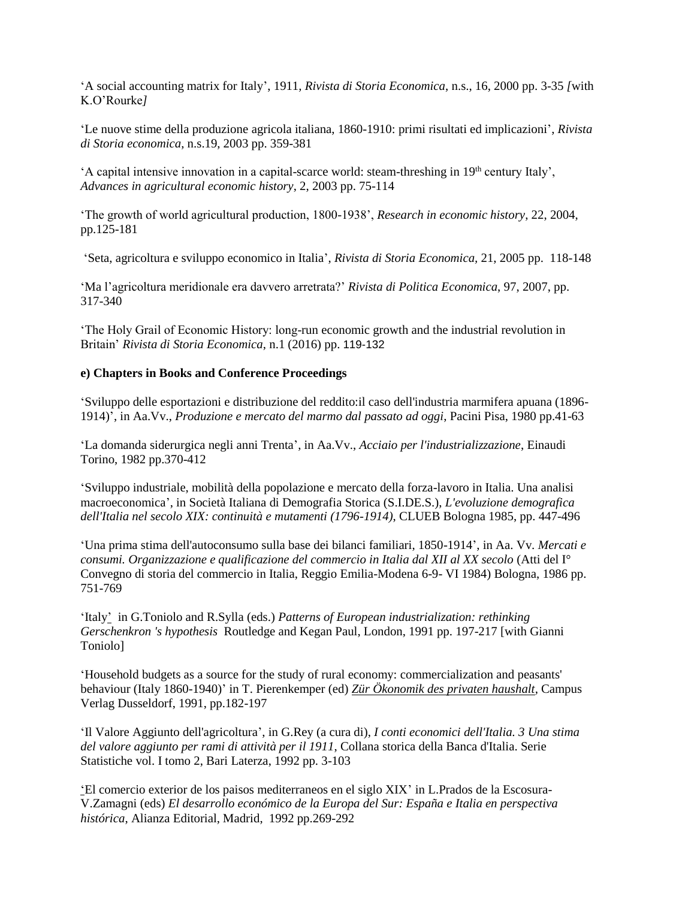'A social accounting matrix for Italy', 1911*, Rivista di Storia Economica*, n.s., 16, 2000 pp. 3-35 *[*with K.O'Rourke*]*

'Le nuove stime della produzione agricola italiana, 1860-1910: primi risultati ed implicazioni', *Rivista di Storia economica*, n.s.19, 2003 pp. 359-381

 $'A$  capital intensive innovation in a capital-scarce world: steam-threshing in 19<sup>th</sup> century Italy', *Advances in agricultural economic history*, 2, 2003 pp. 75-114

'The growth of world agricultural production, 1800-1938', *Research in economic history*, 22, 2004, pp.125-181

'Seta, agricoltura e sviluppo economico in Italia', *Rivista di Storia Economica,* 21, 2005 pp. 118-148

'Ma l'agricoltura meridionale era davvero arretrata?' *Rivista di Politica Economica*, 97, 2007, pp. 317-340

'The Holy Grail of Economic History: long-run economic growth and the industrial revolution in Britain' *Rivista di Storia Economica*, n.1 (2016) pp. 119-132

#### **e) Chapters in Books and Conference Proceedings**

'Sviluppo delle esportazioni e distribuzione del reddito:il caso dell'industria marmifera apuana (1896- 1914)', in Aa.Vv., *Produzione e mercato del marmo dal passato ad oggi*, Pacini Pisa, 1980 pp.41-63

'La domanda siderurgica negli anni Trenta', in Aa.Vv., *Acciaio per l'industrializzazione*, Einaudi Torino, 1982 pp.370-412

'Sviluppo industriale, mobilità della popolazione e mercato della forza-lavoro in Italia. Una analisi macroeconomica', in Società Italiana di Demografia Storica (S.I.DE.S.), *L'evoluzione demografica dell'Italia nel secolo XIX: continuità e mutamenti (1796-1914)*, CLUEB Bologna 1985, pp. 447-496

'Una prima stima dell'autoconsumo sulla base dei bilanci familiari, 1850-1914', in Aa. Vv. *Mercati e consumi. Organizzazione e qualificazione del commercio in Italia dal XII al XX secolo* (Atti del I° Convegno di storia del commercio in Italia, Reggio Emilia-Modena 6-9- VI 1984) Bologna, 1986 pp. 751-769

'Italy' in G.Toniolo and R.Sylla (eds.) *Patterns of European industrialization: rethinking Gerschenkron 's hypothesis* Routledge and Kegan Paul, London, 1991 pp. 197-217 [with Gianni Toniolo]

'Household budgets as a source for the study of rural economy: commercialization and peasants' behaviour (Italy 1860-1940)' in T. Pierenkemper (ed) *Zür Ökonomik des privaten haushalt*, Campus Verlag Dusseldorf, 1991, pp.182-197

'Il Valore Aggiunto dell'agricoltura', in G.Rey (a cura di), *I conti economici dell'Italia. 3 Una stima del valore aggiunto per rami di attività per il 1911*, Collana storica della Banca d'Italia. Serie Statistiche vol. I tomo 2, Bari Laterza, 1992 pp. 3-103

'El comercio exterior de los paisos mediterraneos en el siglo XIX' in L.Prados de la Escosura-V.Zamagni (eds) *El desarrollo económico de la Europa del Sur: España e Italia en perspectiva histórica*, Alianza Editorial, Madrid, 1992 pp.269-292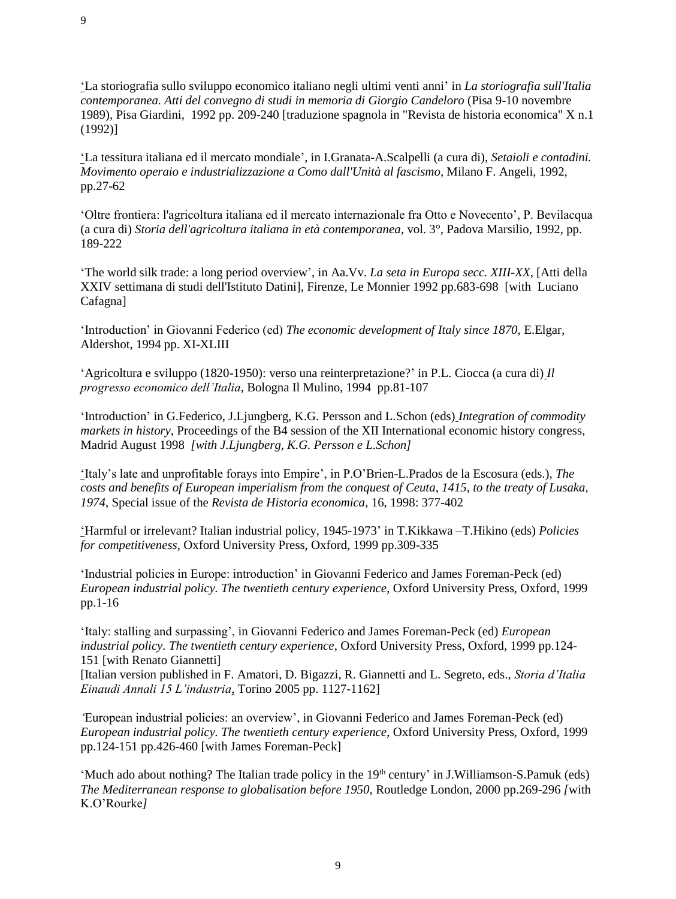'La storiografia sullo sviluppo economico italiano negli ultimi venti anni' in *La storiografia sull'Italia contemporanea. Atti del convegno di studi in memoria di Giorgio Candeloro* (Pisa 9-10 novembre 1989), Pisa Giardini, 1992 pp. 209-240 [traduzione spagnola in "Revista de historia economica" X n.1 (1992)]

'La tessitura italiana ed il mercato mondiale', in I.Granata-A.Scalpelli (a cura di), *Setaioli e contadini. Movimento operaio e industrializzazione a Como dall'Unità al fascismo,* Milano F. Angeli, 1992, pp.27-62

'Oltre frontiera: l'agricoltura italiana ed il mercato internazionale fra Otto e Novecento', P. Bevilacqua (a cura di) *Storia dell'agricoltura italiana in età contemporanea*, vol. 3°, Padova Marsilio, 1992, pp. 189-222

'The world silk trade: a long period overview', in Aa.Vv. *La seta in Europa secc. XIII-XX*, [Atti della XXIV settimana di studi dell'Istituto Datini], Firenze, Le Monnier 1992 pp.683-698 [with Luciano Cafagna]

'Introduction' in Giovanni Federico (ed) *The economic development of Italy since 1870,* E.Elgar, Aldershot, 1994 pp. XI-XLIII

'Agricoltura e sviluppo (1820-1950): verso una reinterpretazione?' in P.L. Ciocca (a cura di) *Il progresso economico dell'Italia*, Bologna Il Mulino, 1994 pp.81-107

'Introduction' in G.Federico, J.Ljungberg, K.G. Persson and L.Schon (eds) *Integration of commodity markets in history*, Proceedings of the B4 session of the XII International economic history congress, Madrid August 1998 *[with J.Ljungberg, K.G. Persson e L.Schon]*

'Italy's late and unprofitable forays into Empire', in P.O'Brien-L.Prados de la Escosura (eds.), *The costs and benefits of European imperialism from the conquest of Ceuta, 1415, to the treaty of Lusaka, 1974*, Special issue of the *Revista de Historia economica*, 16, 1998: 377-402

'Harmful or irrelevant? Italian industrial policy, 1945-1973' in T.Kikkawa –T.Hikino (eds) *Policies for competitiveness*, Oxford University Press, Oxford, 1999 pp.309-335

'Industrial policies in Europe: introduction' in Giovanni Federico and James Foreman-Peck (ed) *European industrial policy. The twentieth century experience*, Oxford University Press, Oxford, 1999 pp.1-16

'Italy: stalling and surpassing', in Giovanni Federico and James Foreman-Peck (ed) *European industrial policy. The twentieth century experience*, Oxford University Press, Oxford, 1999 pp.124- 151 [with Renato Giannetti]

[Italian version published in F. Amatori, D. Bigazzi, R. Giannetti and L. Segreto, eds., *Storia d'Italia Einaudi Annali 15 L'industria*, Torino 2005 pp. 1127-1162]

*'*European industrial policies: an overview', in Giovanni Federico and James Foreman-Peck (ed) *European industrial policy. The twentieth century experience*, Oxford University Press, Oxford, 1999 pp.124-151 pp.426-460 [with James Foreman-Peck]

'Much ado about nothing? The Italian trade policy in the 19<sup>th</sup> century' in J.Williamson-S.Pamuk (eds) *The Mediterranean response to globalisation before 1950,* Routledge London, 2000 pp.269-296 *[*with K.O'Rourke*]*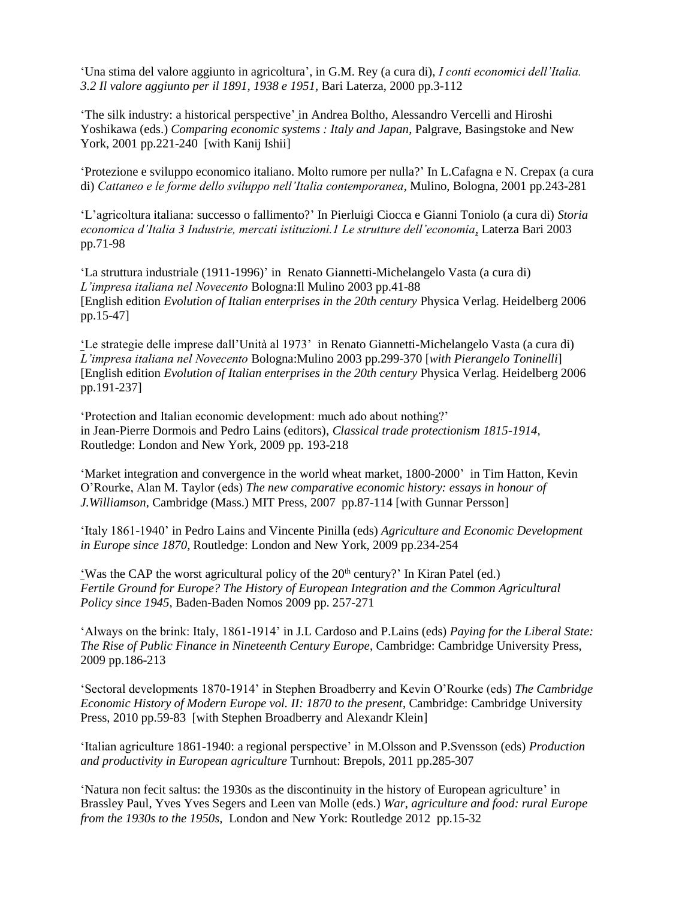'Una stima del valore aggiunto in agricoltura', in G.M. Rey (a cura di), *I conti economici dell'Italia. 3.2 Il valore aggiunto per il 1891, 1938 e 1951*, Bari Laterza, 2000 pp.3-112

'The silk industry: a historical perspective' in Andrea Boltho, Alessandro Vercelli and Hiroshi Yoshikawa (eds.) *Comparing economic systems : Italy and Japan*, Palgrave, Basingstoke and New York, 2001 pp.221-240 [with Kanij Ishii]

'Protezione e sviluppo economico italiano. Molto rumore per nulla?' In L.Cafagna e N. Crepax (a cura di) *Cattaneo e le forme dello sviluppo nell'Italia contemporanea*, Mulino, Bologna, 2001 pp.243-281

'L'agricoltura italiana: successo o fallimento?' In Pierluigi Ciocca e Gianni Toniolo (a cura di) *Storia economica d'Italia 3 Industrie, mercati istituzioni.1 Le strutture dell'economia*, Laterza Bari 2003 pp.71-98

'La struttura industriale (1911-1996)' inRenato Giannetti-Michelangelo Vasta (a cura di) *L'impresa italiana nel Novecento* Bologna:Il Mulino 2003 pp.41-88 [English edition *Evolution of Italian enterprises in the 20th century* Physica Verlag. Heidelberg 2006 pp.15-47]

'Le strategie delle imprese dall'Unità al 1973' in Renato Giannetti-Michelangelo Vasta (a cura di) *L'impresa italiana nel Novecento* Bologna:Mulino 2003 pp.299-370 [*with Pierangelo Toninelli*] [English edition *Evolution of Italian enterprises in the 20th century* Physica Verlag. Heidelberg 2006 pp.191-237]

'Protection and Italian economic development: much ado about nothing?' in Jean-Pierre Dormois and Pedro Lains (editors), *Classical trade protectionism 1815-1914,* Routledge: London and New York, 2009 pp. 193-218

'Market integration and convergence in the world wheat market, 1800-2000' in Tim Hatton, Kevin O'Rourke, Alan M. Taylor (eds) *The new comparative economic history: essays in honour of J.Williamson,* Cambridge (Mass.) MIT Press, 2007 pp.87-114 [with Gunnar Persson]

'Italy 1861-1940' in Pedro Lains and Vincente Pinilla (eds) *Agriculture and Economic Development in Europe since 1870*, Routledge: London and New York, 2009 pp.234-254

'Was the CAP the worst agricultural policy of the  $20<sup>th</sup>$  century?' In Kiran Patel (ed.) *Fertile Ground for Europe? The History of European Integration and the Common Agricultural Policy since 1945,* Baden-Baden Nomos 2009 pp. 257-271

'Always on the brink: Italy, 1861-1914' in J.L Cardoso and P.Lains (eds) *Paying for the Liberal State: The Rise of Public Finance in Nineteenth Century Europe*, Cambridge: Cambridge University Press, 2009 pp.186-213

'Sectoral developments 1870-1914' in Stephen Broadberry and Kevin O'Rourke (eds) *The Cambridge Economic History of Modern Europe vol. II: 1870 to the present*, Cambridge: Cambridge University Press, 2010 pp.59-83 [with Stephen Broadberry and Alexandr Klein]

'Italian agriculture 1861-1940: a regional perspective' in M.Olsson and P.Svensson (eds) *Production and productivity in European agriculture* Turnhout: Brepols, 2011 pp.285-307

'Natura non fecit saltus: the 1930s as the discontinuity in the history of European agriculture' in Brassley Paul, Yves Yves Segers and Leen van Molle (eds.) *War, agriculture and food: rural Europe from the 1930s to the 1950s,* London and New York: Routledge 2012 pp.15-32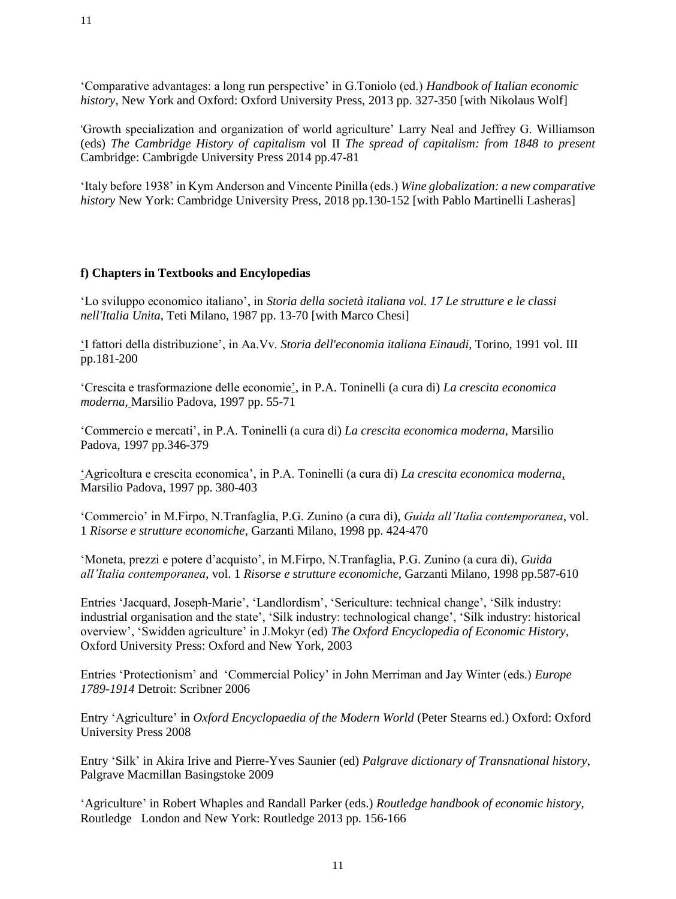'Comparative advantages: a long run perspective' in G.Toniolo (ed.) *Handbook of Italian economic history*, New York and Oxford: Oxford University Press, 2013 pp. 327-350 [with Nikolaus Wolf]

'Growth specialization and organization of world agriculture' Larry Neal and Jeffrey G. Williamson (eds) *The Cambridge History of capitalism* vol II *The spread of capitalism: from 1848 to present* Cambridge: Cambrigde University Press 2014 pp.47-81

'Italy before 1938' in Kym Anderson and Vincente Pinilla (eds.) *Wine globalization: a new comparative history* New York: Cambridge University Press, 2018 pp.130-152 [with Pablo Martinelli Lasheras]

#### **f) Chapters in Textbooks and Encylopedias**

'Lo sviluppo economico italiano', in *Storia della società italiana vol. 17 Le strutture e le classi nell'Italia Unita*, Teti Milano, 1987 pp. 13-70 [with Marco Chesi]

'I fattori della distribuzione', in Aa.Vv. *Storia dell'economia italiana Einaudi,* Torino, 1991 vol. III pp.181-200

'Crescita e trasformazione delle economie', in P.A. Toninelli (a cura di) *La crescita economica moderna,* Marsilio Padova, 1997 pp. 55-71

'Commercio e mercati', in P.A. Toninelli (a cura di) *La crescita economica moderna,* Marsilio Padova, 1997 pp.346-379

'Agricoltura e crescita economica', in P.A. Toninelli (a cura di) *La crescita economica moderna*, Marsilio Padova, 1997 pp. 380-403

'Commercio' in M.Firpo, N.Tranfaglia, P.G. Zunino (a cura di), *Guida all'Italia contemporanea*, vol. 1 *Risorse e strutture economiche*, Garzanti Milano, 1998 pp. 424-470

'Moneta, prezzi e potere d'acquisto', in M.Firpo, N.Tranfaglia, P.G. Zunino (a cura di), *Guida all'Italia contemporanea*, vol. 1 *Risorse e strutture economiche,* Garzanti Milano, 1998 pp.587-610

Entries 'Jacquard, Joseph-Marie', 'Landlordism', 'Sericulture: technical change', 'Silk industry: industrial organisation and the state', 'Silk industry: technological change', 'Silk industry: historical overview', 'Swidden agriculture' in J.Mokyr (ed) *The Oxford Encyclopedia of Economic History*, Oxford University Press: Oxford and New York, 2003

Entries 'Protectionism' and 'Commercial Policy' in John Merriman and Jay Winter (eds.) *Europe 1789-1914* Detroit: Scribner 2006

Entry 'Agriculture' in *Oxford Encyclopaedia of the Modern World* (Peter Stearns ed.) Oxford: Oxford University Press 2008

Entry 'Silk' in Akira Irive and Pierre-Yves Saunier (ed) *Palgrave dictionary of Transnational history*, Palgrave Macmillan Basingstoke 2009

'Agriculture' in Robert Whaples and Randall Parker (eds.) *Routledge handbook of economic history*, Routledge London and New York: Routledge 2013 pp. 156-166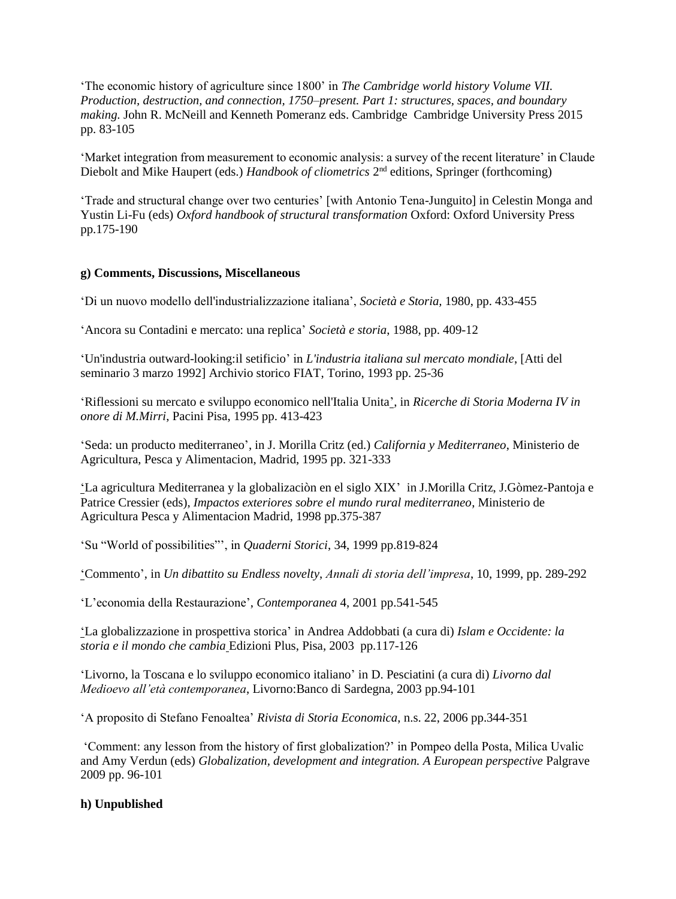'The economic history of agriculture since 1800' in *The Cambridge world history Volume VII. Production, destruction, and connection, 1750–present. Part 1: structures, spaces, and boundary making.* John R. McNeill and Kenneth Pomeranz eds. Cambridge Cambridge University Press 2015 pp. 83-105

'Market integration from measurement to economic analysis: a survey of the recent literature' in Claude Diebolt and Mike Haupert (eds.) *Handbook of cliometrics* 2<sup>nd</sup> editions, Springer (forthcoming)

'Trade and structural change over two centuries' [with Antonio Tena-Junguito] in Celestin Monga and Yustin Li-Fu (eds) *Oxford handbook of structural transformation* Oxford: Oxford University Press pp.175-190

#### **g) Comments, Discussions, Miscellaneous**

'Di un nuovo modello dell'industrializzazione italiana', *Società e Storia,* 1980, pp. 433-455

'Ancora su Contadini e mercato: una replica' *Società e storia*, 1988, pp. 409-12

'Un'industria outward-looking:il setificio' in *L'industria italiana sul mercato mondiale*, [Atti del seminario 3 marzo 1992] Archivio storico FIAT, Torino, 1993 pp. 25-36

'Riflessioni su mercato e sviluppo economico nell'Italia Unita', in *Ricerche di Storia Moderna IV in onore di M.Mirri*, Pacini Pisa, 1995 pp. 413-423

'Seda: un producto mediterraneo', in J. Morilla Critz (ed.) *California y Mediterraneo*, Ministerio de Agricultura, Pesca y Alimentacion, Madrid, 1995 pp. 321-333

'La agricultura Mediterranea y la globalizaciòn en el siglo XIX' in J.Morilla Critz, J.Gòmez-Pantoja e Patrice Cressier (eds), *Impactos exteriores sobre el mundo rural mediterraneo*, Ministerio de Agricultura Pesca y Alimentacion Madrid, 1998 pp.375-387

'Su "World of possibilities"', in *Quaderni Storici*, 34, 1999 pp.819-824

'Commento', in *Un dibattito su Endless novelty*, *Annali di storia dell'impresa*, 10, 1999, pp. 289-292

'L'economia della Restaurazione', *Contemporanea* 4, 2001 pp.541-545

'La globalizzazione in prospettiva storica' in Andrea Addobbati (a cura di) *Islam e Occidente: la storia e il mondo che cambia* Edizioni Plus, Pisa, 2003 pp.117-126

'Livorno, la Toscana e lo sviluppo economico italiano' in D. Pesciatini (a cura di) *Livorno dal Medioevo all'età contemporanea*, Livorno:Banco di Sardegna, 2003 pp.94-101

'A proposito di Stefano Fenoaltea' *Rivista di Storia Economica*, n.s. 22, 2006 pp.344-351

'Comment: any lesson from the history of first globalization?' in Pompeo della Posta, Milica Uvalic and Amy Verdun (eds) *Globalization, development and integration. A European perspective* Palgrave 2009 pp. 96-101

#### **h) Unpublished**